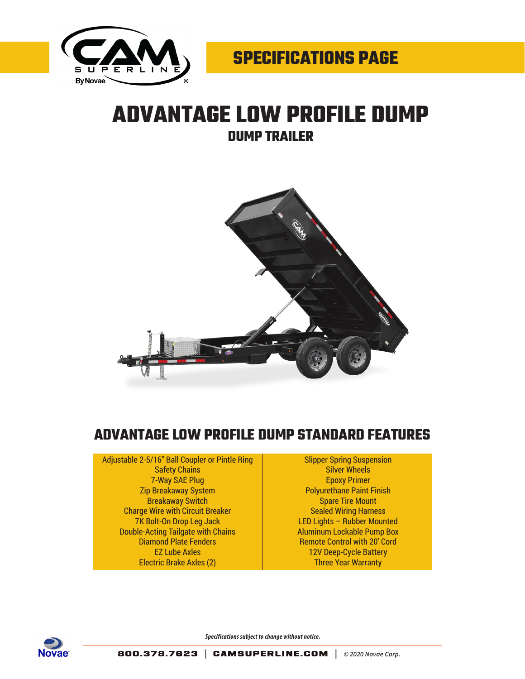

## **ADVANTAGE LOW PROFILE DUMP DUMP TRAILER**



## **ADVANTAGE LOW PROFILE DUMP STANDARD FEATURES**

Adjustable 2-5/16" Ball Coupler or Pintle Ring Safety Chains 7-Way SAE Plug Zip Breakaway System Breakaway Switch Charge Wire with Circuit Breaker 7K Bolt-On Drop Leg Jack Double-Acting Tailgate with Chains Diamond Plate Fenders EZ Lube Axles Electric Brake Axles (2)

Slipper Spring Suspension Silver Wheels Epoxy Primer Polyurethane Paint Finish Spare Tire Mount Sealed Wiring Harness LED Lights – Rubber Mounted Aluminum Lockable Pump Box Remote Control with 20' Cord 12V Deep-Cycle Battery Three Year Warranty



*Specifications subject to change without notice.*